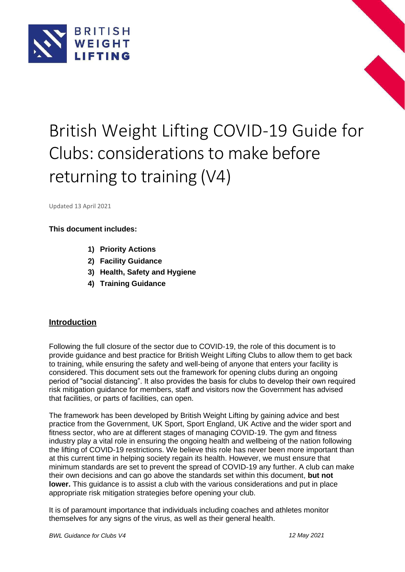



Updated 13 April 2021

#### **This document includes:**

- **1) Priority Actions**
- **2) Facility Guidance**
- **3) Health, Safety and Hygiene**
- **4) Training Guidance**

#### **Introduction**

Following the full closure of the sector due to COVID-19, the role of this document is to provide guidance and best practice for British Weight Lifting Clubs to allow them to get back to training, while ensuring the safety and well-being of anyone that enters your facility is considered. This document sets out the framework for opening clubs during an ongoing period of "social distancing". It also provides the basis for clubs to develop their own required risk mitigation guidance for members, staff and visitors now the Government has advised that facilities, or parts of facilities, can open.

The framework has been developed by British Weight Lifting by gaining advice and best practice from the Government, UK Sport, Sport England, UK Active and the wider sport and fitness sector, who are at different stages of managing COVID-19. The gym and fitness industry play a vital role in ensuring the ongoing health and wellbeing of the nation following the lifting of COVID-19 restrictions. We believe this role has never been more important than at this current time in helping society regain its health. However, we must ensure that minimum standards are set to prevent the spread of COVID-19 any further. A club can make their own decisions and can go above the standards set within this document, **but not lower.** This guidance is to assist a club with the various considerations and put in place appropriate risk mitigation strategies before opening your club.

It is of paramount importance that individuals including coaches and athletes monitor themselves for any signs of the virus, as well as their general health.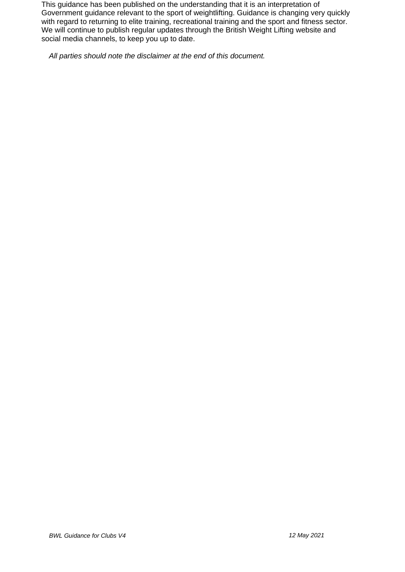This guidance has been published on the understanding that it is an interpretation of Government guidance relevant to the sport of weightlifting. Guidance is changing very quickly with regard to returning to elite training, recreational training and the sport and fitness sector. We will continue to publish regular updates through the British Weight Lifting website and social media channels, to keep you up to date.

*All parties should note the disclaimer at the end of this document.*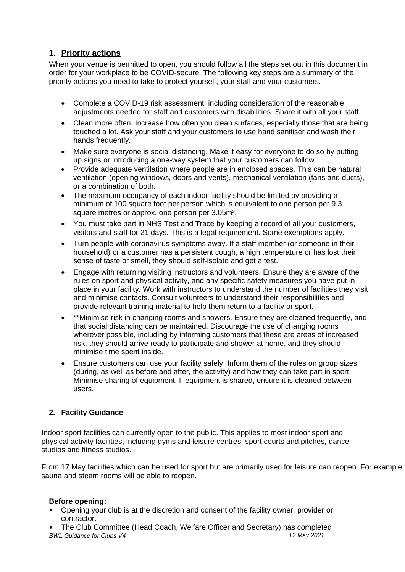## **1. Priority actions**

When your venue is permitted to open, you should follow all the steps set out in this document in order for your workplace to be COVID-secure. The following key steps are a summary of the priority actions you need to take to protect yourself, your staff and your customers.

- Complete a COVID-19 risk assessment, including consideration of the reasonable adjustments needed for staff and customers with disabilities. Share it with all your staff.
- Clean more often. Increase how often you clean surfaces, especially those that are being touched a lot. Ask your staff and your customers to use hand sanitiser and wash their hands frequently.
- Make sure everyone is social distancing. Make it easy for everyone to do so by putting up signs or introducing a one-way system that your customers can follow.
- Provide adequate ventilation where people are in enclosed spaces. This can be natural ventilation (opening windows, doors and vents), mechanical ventilation (fans and ducts), or a combination of both.
- The maximum occupancy of each indoor facility should be limited by providing a minimum of 100 square foot per person which is equivalent to one person per 9.3 square metres or approx. one person per 3.05m².
- You must take part in NHS Test and Trace by keeping a record of all your customers, visitors and staff for 21 days. This is a legal requirement. Some exemptions apply.
- Turn people with coronavirus symptoms away. If a staff member (or someone in their household) or a customer has a persistent cough, a high temperature or has lost their sense of taste or smell, they should self-isolate and get a test.
- Engage with returning visiting instructors and volunteers. Ensure they are aware of the rules on sport and physical activity, and any specific safety measures you have put in place in your facility. Work with instructors to understand the number of facilities they visit and minimise contacts. Consult volunteers to understand their responsibilities and provide relevant training material to help them return to a facility or sport.
- \*\*Minimise risk in changing rooms and showers. Ensure they are cleaned frequently, and that social distancing can be maintained. Discourage the use of changing rooms wherever possible, including by informing customers that these are areas of increased risk, they should arrive ready to participate and shower at home, and they should minimise time spent inside.
- Ensure customers can use your facility safely. Inform them of the rules on group sizes (during, as well as before and after, the activity) and how they can take part in sport. Minimise sharing of equipment. If equipment is shared, ensure it is cleaned between users.

### **2. Facility Guidance**

Indoor sport facilities can currently open to the public. This applies to most indoor sport and physical activity facilities, including gyms and leisure centres, sport courts and pitches, dance studios and fitness studios.

From 17 May facilities which can be used for sport but are primarily used for leisure can reopen. For example, sauna and steam rooms will be able to reopen.

#### **Before opening:**

- Opening your club is at the discretion and consent of the facility owner, provider or contractor.
- *BWL Guidance for Clubs V4 12 May 2021* • The Club Committee (Head Coach, Welfare Officer and Secretary) has completed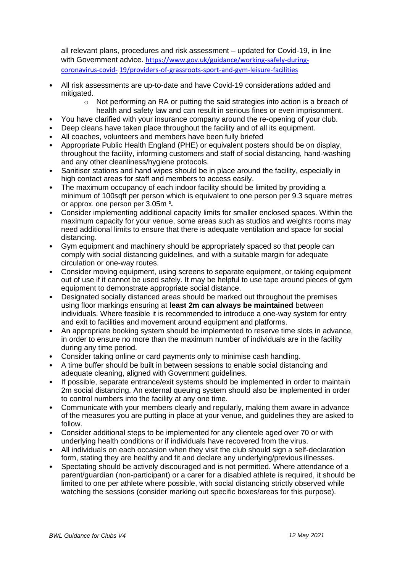all relevant plans, procedures and risk assessment – updated for Covid-19, in line with Government advice. [https://www.gov.uk/guidance/working-safely-during](https://www.gov.uk/guidance/working-safely-during-coronavirus-covid-19/providers-of-grassroots-sport-and-gym-leisure-facilities)[coronavirus-covid-](https://www.gov.uk/guidance/working-safely-during-coronavirus-covid-19/providers-of-grassroots-sport-and-gym-leisure-facilities) [19/providers-of-grassroots-sport-and-gym-leisure-facilities](https://www.gov.uk/guidance/working-safely-during-coronavirus-covid-19/providers-of-grassroots-sport-and-gym-leisure-facilities)

- All risk assessments are up-to-date and have Covid-19 considerations added and mitigated.
	- $\circ$  Not performing an RA or putting the said strategies into action is a breach of health and safety law and can result in serious fines or even imprisonment.
- You have clarified with your insurance company around the re-opening of your club.
- Deep cleans have taken place throughout the facility and of all its equipment.
- All coaches, volunteers and members have been fully briefed
- Appropriate Public Health England (PHE) or equivalent posters should be on display, throughout the facility, informing customers and staff of social distancing, hand-washing and any other cleanliness/hygiene protocols.
- Sanitiser stations and hand wipes should be in place around the facility, especially in high contact areas for staff and members to access easily.
- The maximum occupancy of each indoor facility should be limited by providing a minimum of 100sqft per person which is equivalent to one person per 9.3 square metres or approx. one person per 3.05m **².**
- Consider implementing additional capacity limits for smaller enclosed spaces. Within the maximum capacity for your venue, some areas such as studios and weights rooms may need additional limits to ensure that there is adequate ventilation and space for social distancing.
- Gym equipment and machinery should be appropriately spaced so that people can comply with social distancing guidelines, and with a suitable margin for adequate circulation or one-way routes.
- Consider moving equipment, using screens to separate equipment, or taking equipment out of use if it cannot be used safely. It may be helpful to use tape around pieces of gym equipment to demonstrate appropriate social distance.
- Designated socially distanced areas should be marked out throughout the premises using floor markings ensuring at **least 2m can always be maintained** between individuals. Where feasible it is recommended to introduce a one-way system for entry and exit to facilities and movement around equipment and platforms.
- An appropriate booking system should be implemented to reserve time slots in advance, in order to ensure no more than the maximum number of individuals are in the facility during any time period.
- Consider taking online or card payments only to minimise cash handling.
- A time buffer should be built in between sessions to enable social distancing and adequate cleaning, aligned with Government guidelines.
- If possible, separate entrance/exit systems should be implemented in order to maintain 2m social distancing. An external queuing system should also be implemented in order to control numbers into the facility at any one time.
- Communicate with your members clearly and regularly, making them aware in advance of the measures you are putting in place at your venue, and guidelines they are asked to follow.
- Consider additional steps to be implemented for any clientele aged over 70 or with underlying health conditions or if individuals have recovered from the virus.
- All individuals on each occasion when they visit the club should sign a self-declaration form, stating they are healthy and fit and declare any underlying/previous illnesses.
- Spectating should be actively discouraged and is not permitted. Where attendance of a parent/guardian (non-participant) or a carer for a disabled athlete is required, it should be limited to one per athlete where possible, with social distancing strictly observed while watching the sessions (consider marking out specific boxes/areas for this purpose).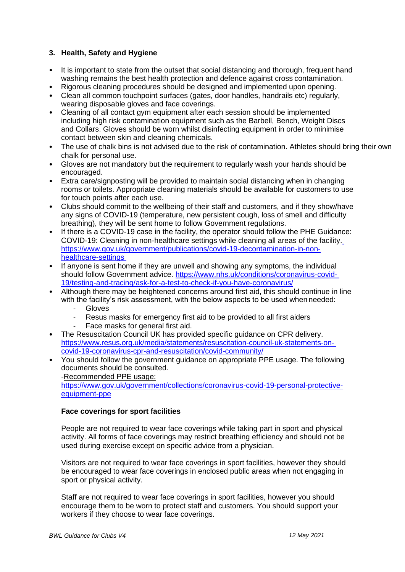#### **3. Health, Safety and Hygiene**

- It is important to state from the outset that social distancing and thorough, frequent hand washing remains the best health protection and defence against cross contamination.
- Rigorous cleaning procedures should be designed and implemented upon opening.
- Clean all common touchpoint surfaces (gates, door handles, handrails etc) regularly, wearing disposable gloves and face coverings.
- Cleaning of all contact gym equipment after each session should be implemented including high risk contamination equipment such as the Barbell, Bench, Weight Discs and Collars. Gloves should be worn whilst disinfecting equipment in order to minimise contact between skin and cleaning chemicals.
- The use of chalk bins is not advised due to the risk of contamination. Athletes should bring their own chalk for personal use.
- Gloves are not mandatory but the requirement to regularly wash your hands should be encouraged.
- Extra care/signposting will be provided to maintain social distancing when in changing rooms or toilets. Appropriate cleaning materials should be available for customers to use for touch points after each use.
- Clubs should commit to the wellbeing of their staff and customers, and if they show/have any signs of COVID-19 (temperature, new persistent cough, loss of smell and difficulty breathing), they will be sent home to follow Government regulations.
- If there is a COVID-19 case in the facility, the operator should follow the PHE Guidance: COVID-19: Cleaning in non-healthcare settings while cleaning all areas of the facility. [https://www.gov.uk/government/publications/covid-19-decontamination-in-non](https://www.gov.uk/government/publications/covid-19-decontamination-in-non-healthcare-settings)[healthcare-settings](https://www.gov.uk/government/publications/covid-19-decontamination-in-non-healthcare-settings)
- If anyone is sent home if they are unwell and showing any symptoms, the individual should follow Government advice. [https://www.nhs.uk/conditions/coronavirus-covid-](https://www.nhs.uk/conditions/coronavirus-covid-19/testing-and-tracing/ask-for-a-test-to-check-if-you-have-coronavirus/)[19/testing-and-tracing/ask-for-a-test-to-check-if-you-have-coronavirus/](https://www.nhs.uk/conditions/coronavirus-covid-19/testing-and-tracing/ask-for-a-test-to-check-if-you-have-coronavirus/)
- Although there may be heightened concerns around first aid, this should continue in line with the facility's risk assessment, with the below aspects to be used when needed:
	- **Gloves**
	- Resus masks for emergency first aid to be provided to all first aiders
	- Face masks for general first aid.
- The Resuscitation Council UK has provided specific guidance on CPR delivery. [https://www.resus.org.uk/media/statements/resuscitation-council-uk-statements-on](https://www.resus.org.uk/media/statements/resuscitation-council-uk-statements-on-covid-19-coronavirus-cpr-and-resuscitation/covid-community/)[covid-19-coronavirus-cpr-and-resuscitation/covid-community/](https://www.resus.org.uk/media/statements/resuscitation-council-uk-statements-on-covid-19-coronavirus-cpr-and-resuscitation/covid-community/)
- You should follow the government guidance on appropriate PPE usage. The following documents should be consulted.

-Recommended PPE usage:

[https://www.gov.uk/government/collections/coronavirus-covid-19-personal-protective](https://www.gov.uk/government/collections/coronavirus-covid-19-personal-protective-equipment-ppe)[equipment-ppe](https://www.gov.uk/government/collections/coronavirus-covid-19-personal-protective-equipment-ppe)

#### **Face coverings for sport facilities**

People are not required to wear face coverings while taking part in sport and physical activity. All forms of face coverings may restrict breathing efficiency and should not be used during exercise except on specific advice from a physician.

Visitors are not required to wear face coverings in sport facilities, however they should be encouraged to wear face coverings in enclosed public areas when not engaging in sport or physical activity.

Staff are not required to wear face coverings in sport facilities, however you should encourage them to be worn to protect staff and customers. You should support your workers if they choose to wear face coverings.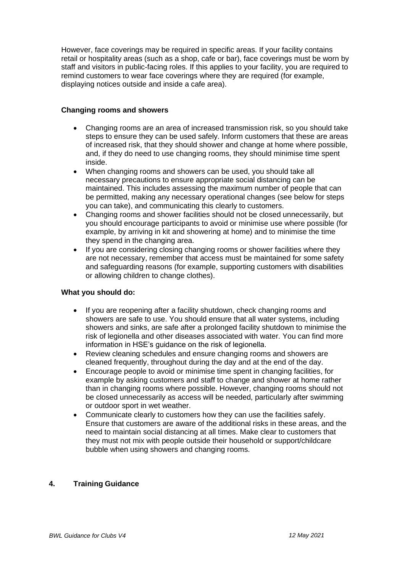However, face coverings may be required in specific areas. If your facility contains retail or hospitality areas (such as a shop, cafe or bar), face coverings must be worn by staff and visitors in public-facing roles. If this applies to your facility, you are required to remind customers to wear face coverings where they are required (for example, displaying notices outside and inside a cafe area).

#### **Changing rooms and showers**

- Changing rooms are an area of increased transmission risk, so you should take steps to ensure they can be used safely. Inform customers that these are areas of increased risk, that they should shower and change at home where possible, and, if they do need to use changing rooms, they should minimise time spent inside.
- When changing rooms and showers can be used, you should take all necessary precautions to ensure appropriate social distancing can be maintained. This includes assessing the maximum number of people that can be permitted, making any necessary operational changes (see below for steps you can take), and communicating this clearly to customers.
- Changing rooms and shower facilities should not be closed unnecessarily, but you should encourage participants to avoid or minimise use where possible (for example, by arriving in kit and showering at home) and to minimise the time they spend in the changing area.
- If you are considering closing changing rooms or shower facilities where they are not necessary, remember that access must be maintained for some safety and safeguarding reasons (for example, supporting customers with disabilities or allowing children to change clothes).

#### **What you should do:**

- If you are reopening after a facility shutdown, check changing rooms and showers are safe to use. You should ensure that all water systems, including showers and sinks, are safe after a prolonged facility shutdown to minimise the risk of legionella and other diseases associated with water. You can find more information in HSE's guidance on the risk of legionella.
- Review cleaning schedules and ensure changing rooms and showers are cleaned frequently, throughout during the day and at the end of the day.
- Encourage people to avoid or minimise time spent in changing facilities, for example by asking customers and staff to change and shower at home rather than in changing rooms where possible. However, changing rooms should not be closed unnecessarily as access will be needed, particularly after swimming or outdoor sport in wet weather.
- Communicate clearly to customers how they can use the facilities safely. Ensure that customers are aware of the additional risks in these areas, and the need to maintain social distancing at all times. Make clear to customers that they must not mix with people outside their household or support/childcare bubble when using showers and changing rooms.

#### **4. Training Guidance**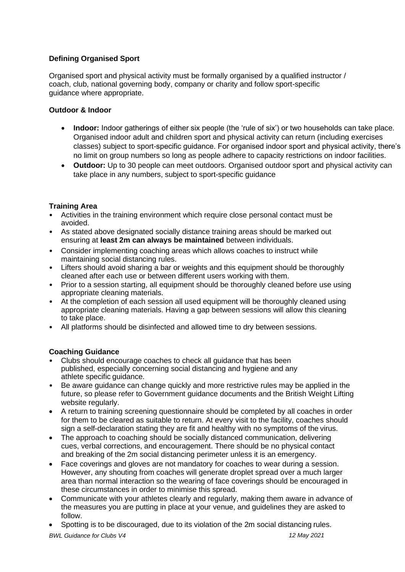## **Defining Organised Sport**

Organised sport and physical activity must be formally organised by a qualified instructor / coach, club, national governing body, company or charity and follow sport-specific guidance where appropriate.

#### **Outdoor & Indoor**

- **Indoor:** Indoor gatherings of either six people (the 'rule of six') or two households can take place. Organised indoor adult and children sport and physical activity can return (including exercises classes) subject to sport-specific guidance. For organised indoor sport and physical activity, there's no limit on group numbers so long as people adhere to capacity restrictions on indoor facilities.
- **Outdoor:** Up to 30 people can meet outdoors. Organised outdoor sport and physical activity can take place in any numbers, subject to sport-specific guidance

#### **Training Area**

- Activities in the training environment which require close personal contact must be avoided.
- As stated above designated socially distance training areas should be marked out ensuring at **least 2m can always be maintained** between individuals.
- Consider implementing coaching areas which allows coaches to instruct while maintaining social distancing rules.
- Lifters should avoid sharing a bar or weights and this equipment should be thoroughly cleaned after each use or between different users working with them.
- Prior to a session starting, all equipment should be thoroughly cleaned before use using appropriate cleaning materials.
- At the completion of each session all used equipment will be thoroughly cleaned using appropriate cleaning materials. Having a gap between sessions will allow this cleaning to take place.
- All platforms should be disinfected and allowed time to dry between sessions.

### **Coaching Guidance**

- Clubs should encourage coaches to check all guidance that has been published, especially concerning social distancing and hygiene and any athlete specific guidance.
- Be aware guidance can change quickly and more restrictive rules may be applied in the future, so please refer to Government guidance documents and the British Weight Lifting website regularly.
- A return to training screening questionnaire should be completed by all coaches in order for them to be cleared as suitable to return. At every visit to the facility, coaches should sign a self-declaration stating they are fit and healthy with no symptoms of the virus.
- The approach to coaching should be socially distanced communication, delivering cues, verbal corrections, and encouragement. There should be no physical contact and breaking of the 2m social distancing perimeter unless it is an emergency.
- Face coverings and gloves are not mandatory for coaches to wear during a session. However, any shouting from coaches will generate droplet spread over a much larger area than normal interaction so the wearing of face coverings should be encouraged in these circumstances in order to minimise this spread.
- Communicate with your athletes clearly and regularly, making them aware in advance of the measures you are putting in place at your venue, and guidelines they are asked to follow.
- Spotting is to be discouraged, due to its violation of the 2m social distancing rules.

*BWL Guidance for Clubs V4 12 May 2021*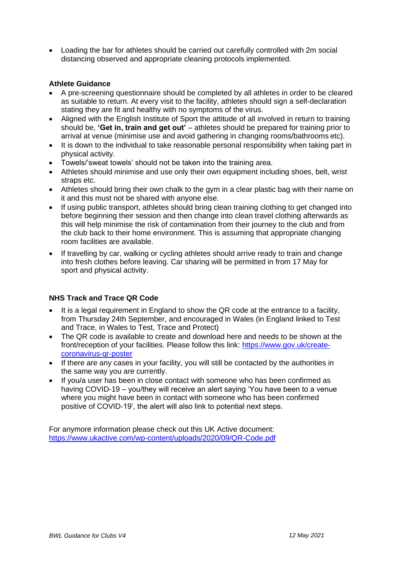• Loading the bar for athletes should be carried out carefully controlled with 2m social distancing observed and appropriate cleaning protocols implemented.

#### **Athlete Guidance**

- A pre-screening questionnaire should be completed by all athletes in order to be cleared as suitable to return. At every visit to the facility, athletes should sign a self-declaration stating they are fit and healthy with no symptoms of the virus.
- Aligned with the English Institute of Sport the attitude of all involved in return to training should be, **'Get in, train and get out'** – athletes should be prepared for training prior to arrival at venue (minimise use and avoid gathering in changing rooms/bathrooms etc).
- It is down to the individual to take reasonable personal responsibility when taking part in physical activity.
- Towels/'sweat towels' should not be taken into the training area.
- Athletes should minimise and use only their own equipment including shoes, belt, wrist straps etc.
- Athletes should bring their own chalk to the gym in a clear plastic bag with their name on it and this must not be shared with anyone else.
- If using public transport, athletes should bring clean training clothing to get changed into before beginning their session and then change into clean travel clothing afterwards as this will help minimise the risk of contamination from their journey to the club and from the club back to their home environment. This is assuming that appropriate changing room facilities are available.
- If travelling by car, walking or cycling athletes should arrive ready to train and change into fresh clothes before leaving. Car sharing will be permitted in from 17 May for sport and physical activity.

#### **NHS Track and Trace QR Code**

- It is a legal requirement in England to show the QR code at the entrance to a facility, from Thursday 24th September, and encouraged in Wales (in England linked to Test and Trace, in Wales to Test, Trace and Protect)
- The QR code is available to create and download here and needs to be shown at the front/reception of your facilities. Please follow this link: [https://www.gov.uk/create](https://www.gov.uk/create-coronavirus-qr-poster)[coronavirus-qr-poster](https://www.gov.uk/create-coronavirus-qr-poster)
- If there are any cases in your facility, you will still be contacted by the authorities in the same way you are currently.
- If you/a user has been in close contact with someone who has been confirmed as having COVID-19 – you/they will receive an alert saying 'You have been to a venue where you might have been in contact with someone who has been confirmed positive of COVID-19', the alert will also link to potential next steps.

For anymore information please check out this UK Active document: <https://www.ukactive.com/wp-content/uploads/2020/09/QR-Code.pdf>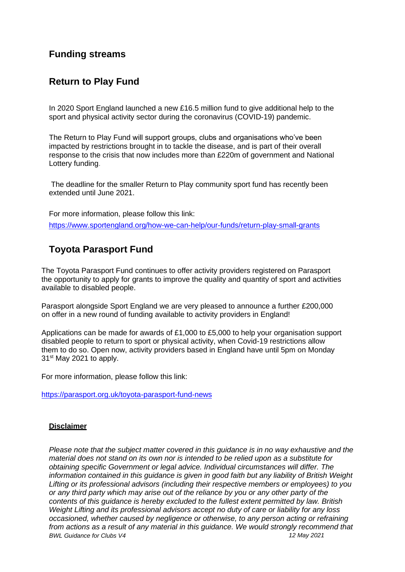## **Funding streams**

## **Return to Play Fund**

In 2020 Sport England launched a new £16.5 million fund to give additional help to the sport and physical activity sector during the coronavirus (COVID-19) pandemic.

The Return to Play Fund will support groups, clubs and organisations who've been impacted by restrictions brought in to tackle the disease, and is part of their overall response to the crisis that now includes more than £220m of government and National Lottery funding.

The deadline for the smaller Return to Play community sport fund has recently been extended until June 2021.

For more information, please follow this link: <https://www.sportengland.org/how-we-can-help/our-funds/return-play-small-grants>

# **Toyota Parasport Fund**

The Toyota Parasport Fund continues to offer activity providers registered on Parasport the opportunity to apply for grants to improve the quality and quantity of sport and activities available to disabled people.

Parasport alongside Sport England we are very pleased to announce a further £200,000 on offer in a new round of funding available to activity providers in England!

Applications can be made for awards of £1,000 to £5,000 to help your organisation support disabled people to return to sport or physical activity, when Covid-19 restrictions allow them to do so. Open now, activity providers based in England have until 5pm on Monday  $31<sup>st</sup>$  May 2021 to apply.

For more information, please follow this link:

<https://parasport.org.uk/toyota-parasport-fund-news>

#### **Disclaimer**

*BWL Guidance for Clubs V4 12 May 2021 Please note that the subject matter covered in this guidance is in no way exhaustive and the material does not stand on its own nor is intended to be relied upon as a substitute for obtaining specific Government or legal advice. Individual circumstances will differ. The information contained in this guidance is given in good faith but any liability of British Weight Lifting or its professional advisors (including their respective members or employees) to you or any third party which may arise out of the reliance by you or any other party of the contents of this guidance is hereby excluded to the fullest extent permitted by law. British Weight Lifting and its professional advisors accept no duty of care or liability for any loss occasioned, whether caused by negligence or otherwise, to any person acting or refraining from actions as a result of any material in this guidance. We would strongly recommend that*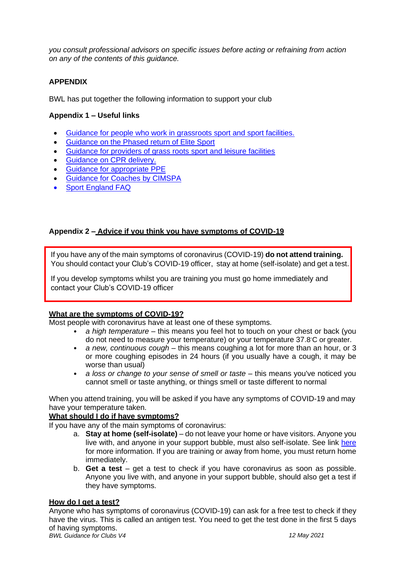*you consult professional advisors on specific issues before acting or refraining from action on any of the contents of this guidance.*

#### **APPENDIX**

BWL has put together the following information to support your club

#### **Appendix 1 – Useful links**

- [Guidance for people who work in grassroots sport and sport facilities.](https://www.gov.uk/guidance/working-safely-during-coronavirus-covid-19/providers-of-grassroots-sport-and-gym-leisure-facilities#sec-5-6)
- [Guidance on the Phased return of Elite Sport](https://www.gov.uk/government/publications/coronavirus-covid-19-guidance-on-phased-return-of-sport-and-recreation)
- [Guidance for providers of grass roots sport and leisure facilities](https://www.gov.uk/guidance/working-safely-during-coronavirus-covid-19/providers-of-grassroots-sport-and-gym-leisure-facilities)
- [Guidance on CPR delivery.](https://www.resus.org.uk/media/statements/resuscitation-council-uk-statements-on-covid-19-coronavirus-cpr-and-resuscitation/covid-community/)
- [Guidance for appropriate PPE](https://www.gov.uk/government/collections/coronavirus-covid-19-personal-protective-equipment-ppe)
- [Guidance for Coaches](https://www.cimspa.co.uk/cimspa-news/news-home/covid-19-restrictions-in-england-%E2%80%93-faqs) by CIMSPA
- [Sport England FAQ](https://www.sportengland.org/how-we-can-help/coronavirus/return-play/frequently-asked-questions-national-coronavirus?section=step_3_-_from_17_may)

#### **Appendix 2 – Advice if you think you have symptoms of COVID-19**

If you have any of the main symptoms of coronavirus (COVID-19) **do not attend training.** You should contact your Club's COVID-19 officer, stay at home (self-isolate) and get a test.

If you develop symptoms whilst you are training you must go home immediately and contact your Club's COVID-19 officer

#### **What are the symptoms of COVID-19?**

Most people with coronavirus have at least one of these symptoms.

- *a high temperature*  this means you feel hot to touch on your chest or back (you do not need to measure your temperature) or your temperature 37.8◦C or greater.
- *a new, continuous cough*  this means coughing a lot for more than an hour, or 3 or more coughing episodes in 24 hours (if you usually have a cough, it may be worse than usual)
- *a loss or change to your sense of smell or taste this means you've noticed you* cannot smell or taste anything, or things smell or taste different to normal

When you attend training, you will be asked if you have any symptoms of COVID-19 and may have your temperature taken.

#### **What should I do if have symptoms?**

If you have any of the main symptoms of coronavirus:

- a. **Stay at home (self-isolate)** do not leave your home or have visitors. Anyone you live with, and anyone in your support bubble, must also self-isolate. See link [here](https://www.gov.uk/government/publications/covid-19-stay-at-home-guidance) for more information. If you are training or away from home, you must return home immediately.
- b. **Get a test**  get a test to check if you have coronavirus as soon as possible. Anyone you live with, and anyone in your support bubble, should also get a test if they have symptoms.

#### **How do I get a test?**

*BWL Guidance for Clubs V4 12 May 2021* Anyone who has symptoms of coronavirus (COVID-19) can ask for a free test to check if they have the virus. This is called an antigen test. You need to get the test done in the first 5 days of having symptoms.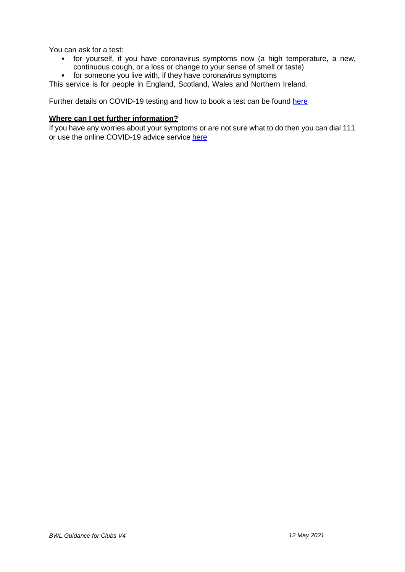You can ask for a test:

- for yourself, if you have coronavirus symptoms now (a high temperature, a new, continuous cough, or a loss or change to your sense of smell or taste)
- for someone you live with, if they have coronavirus symptoms

This service is for people in England, Scotland, Wales and Northern Ireland.

Further details on COVID-19 testing and how to book a test can be found [here](https://www.nhs.uk/conditions/coronavirus-covid-19/testing-and-tracing/ask-for-a-test-to-check-if-you-have-coronavirus/)

#### **Where can I get further information?**

If you have any worries about your symptoms or are not sure what to do then you can dial 111 or use the online COVID-19 advice service [here](https://111.nhs.uk/covid-19/)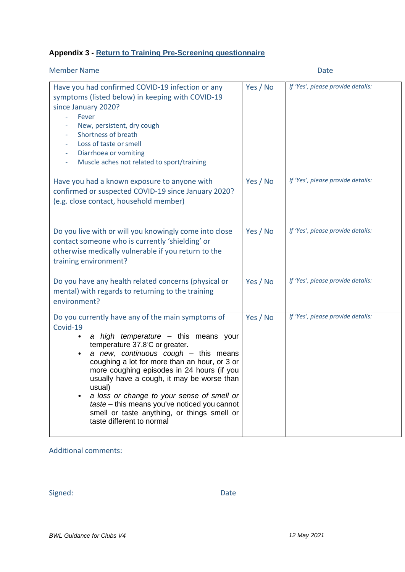# **Appendix 3 - Return to Training Pre-Screening questionnaire**

| <b>Member Name</b>                                                                                                                                                                                                                                                                                                                                                                                                                                                                                                            |          | Date                              |
|-------------------------------------------------------------------------------------------------------------------------------------------------------------------------------------------------------------------------------------------------------------------------------------------------------------------------------------------------------------------------------------------------------------------------------------------------------------------------------------------------------------------------------|----------|-----------------------------------|
| Have you had confirmed COVID-19 infection or any<br>symptoms (listed below) in keeping with COVID-19<br>since January 2020?<br>Fever<br>New, persistent, dry cough<br>Shortness of breath<br>Loss of taste or smell<br>Diarrhoea or vomiting<br>Muscle aches not related to sport/training<br>$\overline{\phantom{a}}$                                                                                                                                                                                                        | Yes / No | If 'Yes', please provide details: |
| Have you had a known exposure to anyone with<br>confirmed or suspected COVID-19 since January 2020?<br>(e.g. close contact, household member)                                                                                                                                                                                                                                                                                                                                                                                 | Yes / No | If 'Yes', please provide details: |
| Do you live with or will you knowingly come into close<br>contact someone who is currently 'shielding' or<br>otherwise medically vulnerable if you return to the<br>training environment?                                                                                                                                                                                                                                                                                                                                     | Yes / No | If 'Yes', please provide details: |
| Do you have any health related concerns (physical or<br>mental) with regards to returning to the training<br>environment?                                                                                                                                                                                                                                                                                                                                                                                                     | Yes / No | If 'Yes', please provide details: |
| Do you currently have any of the main symptoms of<br>Covid-19<br>a high temperature - this means your<br>temperature 37.8°C or greater.<br>a new, continuous cough - this means<br>coughing a lot for more than an hour, or 3 or<br>more coughing episodes in 24 hours (if you<br>usually have a cough, it may be worse than<br>usual)<br>a loss or change to your sense of smell or<br>$\bullet$<br>taste - this means you've noticed you cannot<br>smell or taste anything, or things smell or<br>taste different to normal | Yes / No | If 'Yes', please provide details: |

## Additional comments:

Signed: Date Date Date Date Date